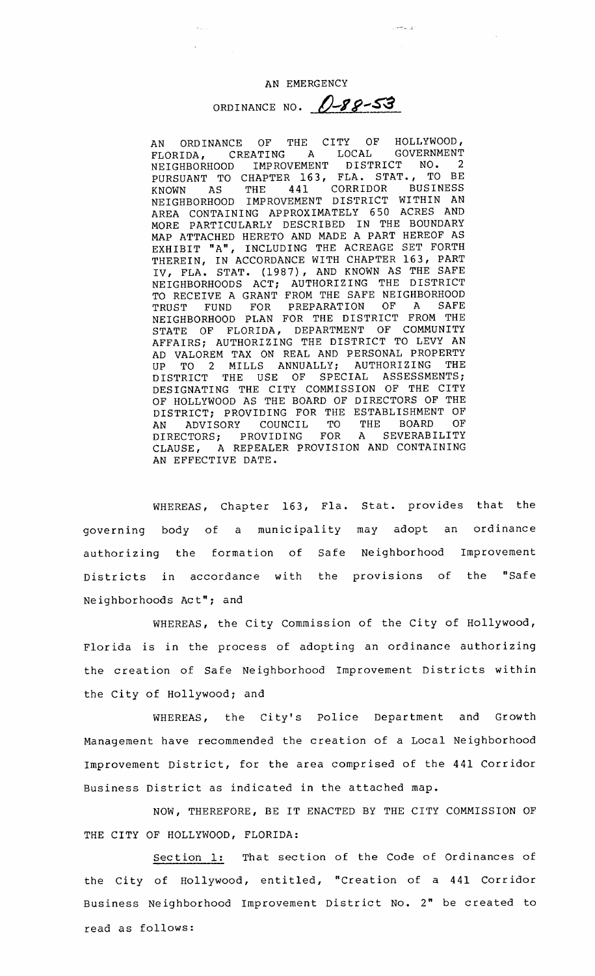الوران فتعلقان

ORDINANCE NO. 0-88-53

AN ORDINANCE OF THE CITY OF HOLLYWOOD,<br>FLORIDA, CREATING A LOCAL GOVERNMENT FLORIDA, CREATING A LOCAL GOVERNMENT NEIGHBORHOOD IMPROVEMENT DISTRICT NO. PURSUANT TO CHAPTER 163, FLA. STAT. , TO BE KNOWN AS THE 441 CORRIDOR BUSINESS NEIGHBORHOOD IMPROVEMENT DISTRICT WITHIN AN AREA CONTAINING APPROXIMATELY 650 ACRES AND MORE PARTICULARLY DESCRIBED IN THE BOUNDARY MAP ATTACHED HERETO AND MADE A PART HEREOF AS EXHIBIT "A", INCLUDING THE ACREAGE SET FORTH THEREIN, IN ACCORDANCE WITH CHAPTER 163, PART IV, FLA. STAT. 1987) , AND KNOWN AS THE SAFE NEIGHBORHOODS ACT; AUTHORIZING THE DISTRICT TO RECEIVE A GRANT FROM THE SAFE NEIGHBORHOOD<br>TRUST FUND FOR PREPARATION OF A SAFE TRUST FUND FOR PREPARATION OF NEIGHBORHOOD PLAN FOR THE DISTRICT FROM THE STATE OF FLORIDA, DEPARTMENT OF COMMUNITY AFFAIRS; AUTHORIZING THE DISTRICT TO LEVY AN AD VALOREM TAX ON REAL AND PERSONAL PROPERTY<br>UP TO 2 MILLS ANNUALLY: AUTHORIZING THE UP TO 2 MILLS ANNUALLY; DISTRICT THE USE OF SPECIAL ASSESSMENTS; DESIGNATING THE CITY COMMISSION OF THE CITY OF HOLLYWOOD AS THE BOARD OF DIRECTORS OF THE DISTRICT; PROVIDING FOR THE ESTABLISHMENT OF AN ADVISORY COUNCIL TO THE BOARD OF<br>DIRECTORS; PROVIDING FOR A SEVERABILITY DIRECTORS; PROVIDING FOR A SEVERABILITY CLAUSE, A REPEALER PROVISION AND CONTAINING AN EFFECTIVE DATE.

WHEREAS, Chapter 163, Fla. Stat. provides that the governing body of <sup>a</sup> municipality may adopt an ordinance authorizing the formation of Safe Neighborhood Improvement Districts in accordance with the provisions of the "Safe Neighborhoods Act"; and

WHEREAS, the City Commission of the City of Hollywood, Florida is in the process of adopting an ordinance authorizing the creation of Safe Neighborhood Improvement Districts within the City of Hollywood; and

WHEREAS, the City's Police Department and Growth Management have recommended the creation of <sup>a</sup> Local Neighborhood Improvement District, for the area comprised of the <sup>441</sup> Corridor Business District as indicated in the attached map.

NOW, THEREFORE, BE IT ENACTED BY THE CITY COMMISSION OF THE CITY OF HOLLYWOOD, FLORIDA:

Section 1: That section of the Code of Ordinances of the City of Hollywood, entitled, "Creation of a 441 Corridor Business Neighborhood Improvement District No. 2" be created to read as follows: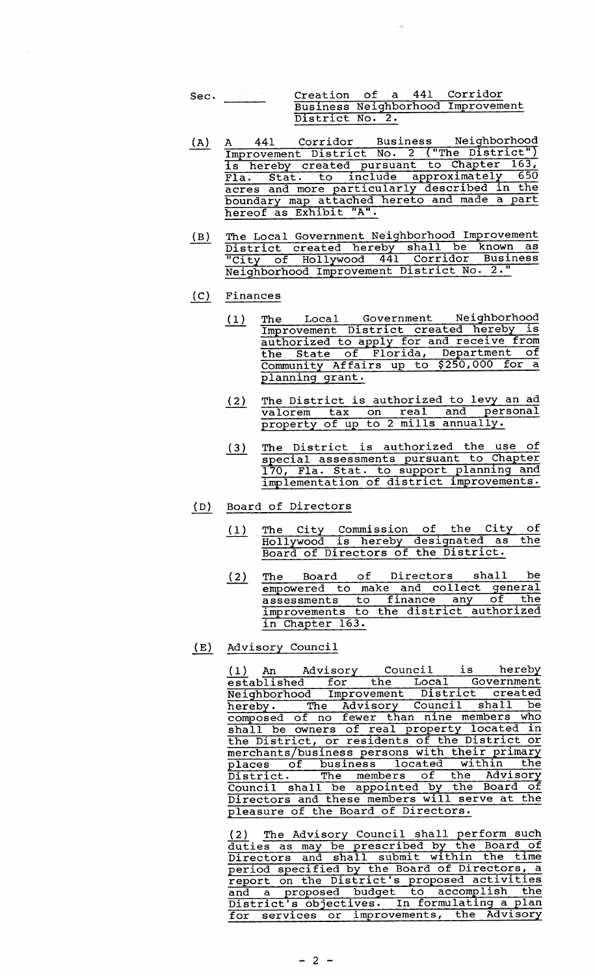- Sec. Creation of a 441 Corridor Business Neighborhood Improvement District No. 2.
- A) A 441 Corridor Business Neighborhood A 441 Collidon Business Nerghborned<br>Improvement District No. 2 ("The District" is hereby created pursuant to Chapter 163 Fla. Stat. to include approximately 650 acres and more particularly described in the boundary. map. attached hereto and made <sup>a</sup> part hereof as Exhibit "A".
- B) The Local Government Neighborhood Improvement District created hereby shall be known as City of Hollywood <sup>441</sup> Corridor Business Neighborhood Improvement District No. 2."

## C) Finances

- 1) The Local Government Neighborhood Improvement District created hereby is authorized to apply for and receive from the State of Florida, Department of Community Affairs up to \$250,000 for a planning grant.
- The District is authorized to levy an ad  $(2)$ valorem tax on real and personal property of up to 2 mills annually.
- 3) The District is authorized the use of special assessments pursuant to Chapter 170, Fla. Stat. to support planning and implementation of district improvements.
- D) Board of Directors
	- Internation of the City of the City of the City of the City of the City of the City of the City of the City of the City of the City of the City of the City of the City of the City of the City of the City of the City of the Hollywood is Hereby designated a
	- 2) The Board of Directors shall be empowered to make and collect general disponence to finance any of the assessments to finance any of the<br>improvements to the district authorized in Chapter 163.
- E) Advisory Council

1) An Advisory Council is hereby established for the Local Government Established Iof the <u>Bocal Government</u><br>Neighborhood Improvement District created hereby. The Advisory Council shall be composed of no fewer than nine members who shall be owners of real property located in shall be owners of fear property focated finite between the District or merchants/ business persons with their primary merchants/business persons with their primary<br>places of business located within the District. The members of the Advisory Council shall be appointed by the Board of Directors and these members will serve at the pleasure of the Board of Directors.

2) The Advisory Council shall perform such duties as may be prescribed by the Board of duties as may be prescribed by the Board of<br>Directors and shall submit within the time period specified by the Board of Directors, a period specified by the Board of Directors, a and a proposed budget to accomplish the and a proposed budget to accomprish the for services or improvements, the Advisory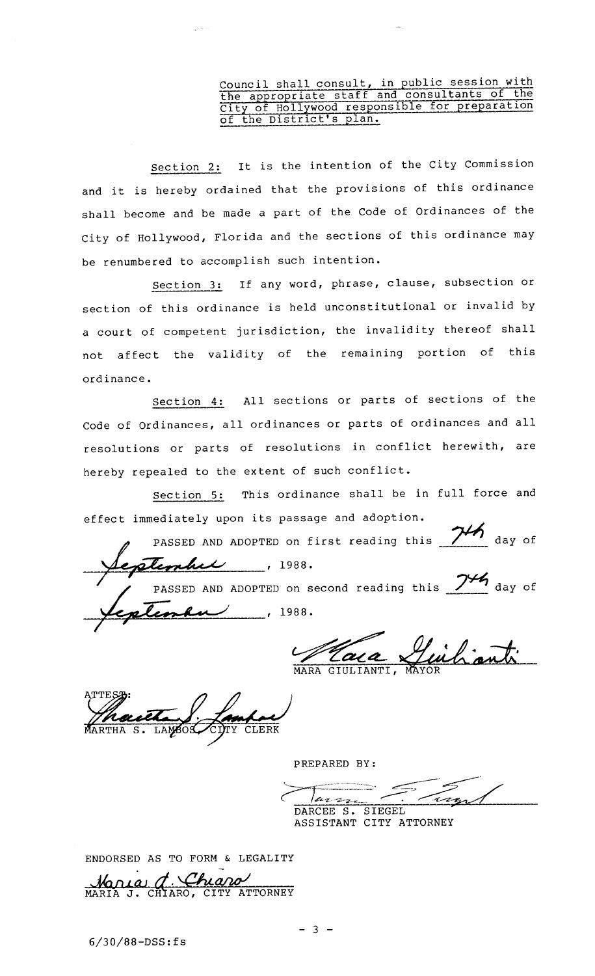## Council shall consult, in public session with the appropriate staff and consultants of the City of Hollywood responsible for preparation of the District's plan.

section 2: It is the intention of the City Commission and it is hereby ordained that the provisions of this ordinance shall become and be made <sup>a</sup> part of the Code of Ordinances of the City of Hollywood, Florida and the sections of this ordinance may be renumbered to accomplish such intention.

Section 3: If any word, phrase, clause, subsection or section of this ordinance is held unconstitutional or invalid by <sup>a</sup> court of competent jurisdiction, the invalidity thereof shall not affect the validity of the remaining portion of this ord inance.

Section 4: All sections or parts of sections of the Code of Ordinances, all ordinances or parts of ordinances and all resolutions or parts of resolutions in conflict herewith, are hereby repealed to the extent of such conflict.

Section 5: This ordinance shall be in full force and effect immediately upon its passage and adoption.

PASSED AND ADOPTED on first reading this 74 day of extended 1988. PASSED AND ADOPTED on second reading this  $\frac{74}{4}$  day of  $\ell$ nku $\ell$  , 1988.

MARA GIULIANTI, MAYO

CLERK

PREPARED BY:

f;::.~~;-=::~.-. ~~' ~~  $\frac{1}{\sqrt{27}}$  DARCEE S. SIEGEL

ASSISTANT CITY ATTORNEY

ENDORSED AS TO FORM & LEGALITY

Mania d. Chiaro

7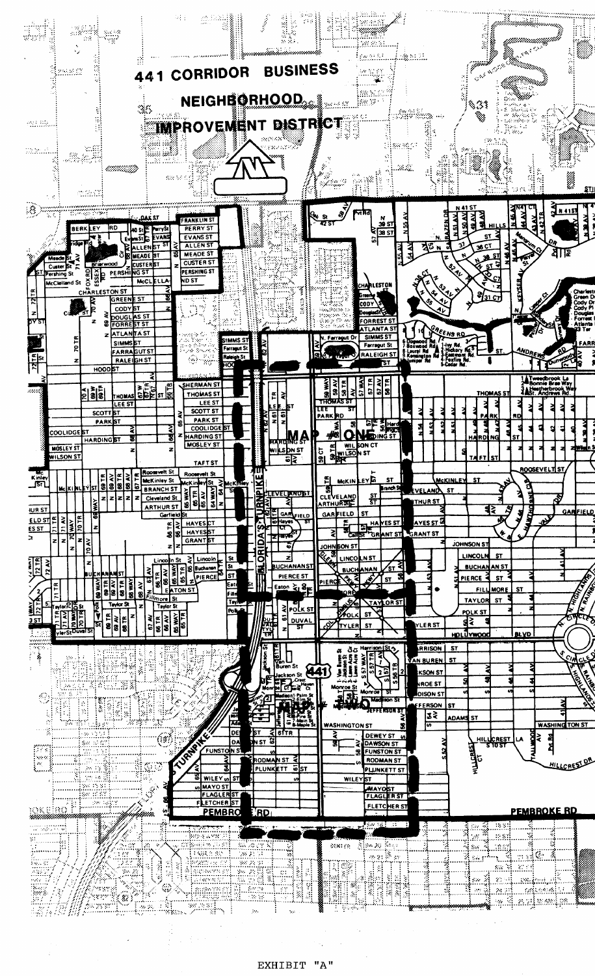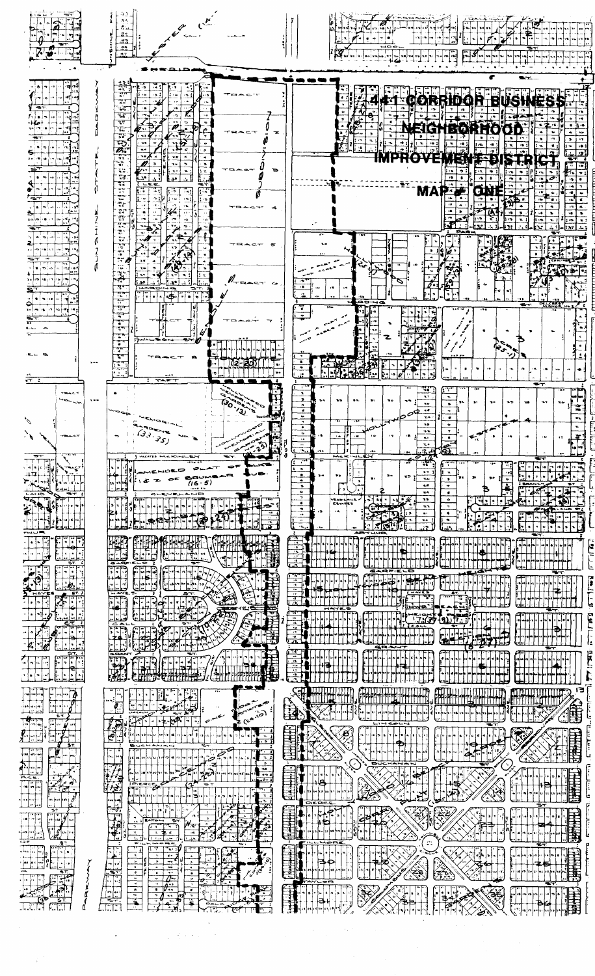